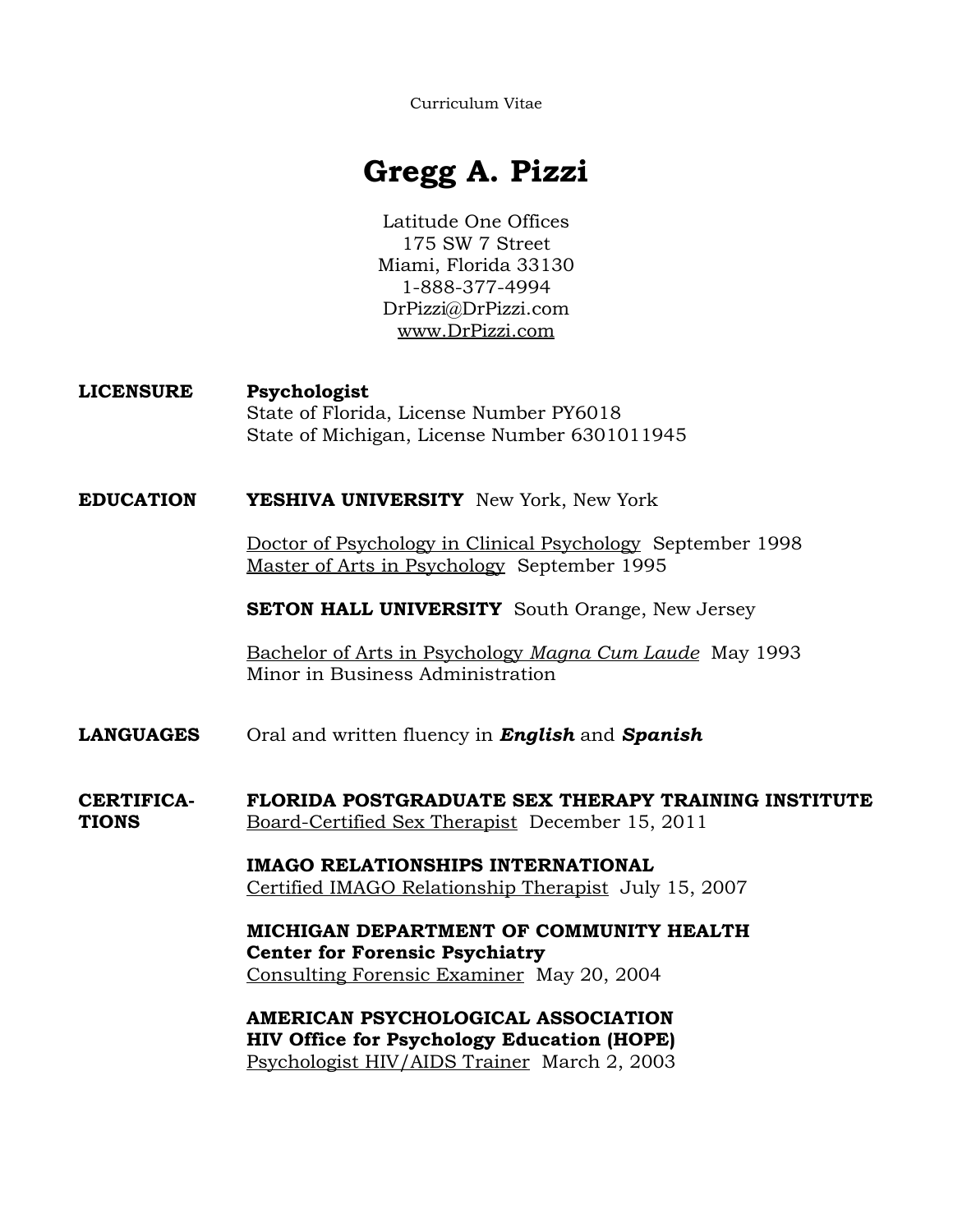Curriculum Vitae

# **Gregg A. Pizzi**

Latitude One Offices 175 SW 7 Street Miami, Florida 33130 1-888-377-4994 DrPizzi@DrPizzi.com www.DrPizzi.com

**LICENSURE Psychologist** State of Florida, License Number PY6018 State of Michigan, License Number 6301011945

**EDUCATION YESHIVA UNIVERSITY** New York, New York

 Doctor of Psychology in Clinical Psychology September 1998 Master of Arts in Psychology September 1995

**SETON HALL UNIVERSITY** South Orange, New Jersey

 Bachelor of Arts in Psychology *Magna Cum Laude* May 1993 Minor in Business Administration

**LANGUAGES** Oral and written fluency in *English* and *Spanish*

**CERTIFICA- FLORIDA POSTGRADUATE SEX THERAPY TRAINING INSTITUTE TIONS** Board-Certified Sex Therapist December 15, 2011

> **IMAGO RELATIONSHIPS INTERNATIONAL**  Certified IMAGO Relationship Therapist July 15, 2007

> **MICHIGAN DEPARTMENT OF COMMUNITY HEALTH Center for Forensic Psychiatry**  Consulting Forensic Examiner May 20, 2004

**AMERICAN PSYCHOLOGICAL ASSOCIATION HIV Office for Psychology Education (HOPE)**  Psychologist HIV/AIDS Trainer March 2, 2003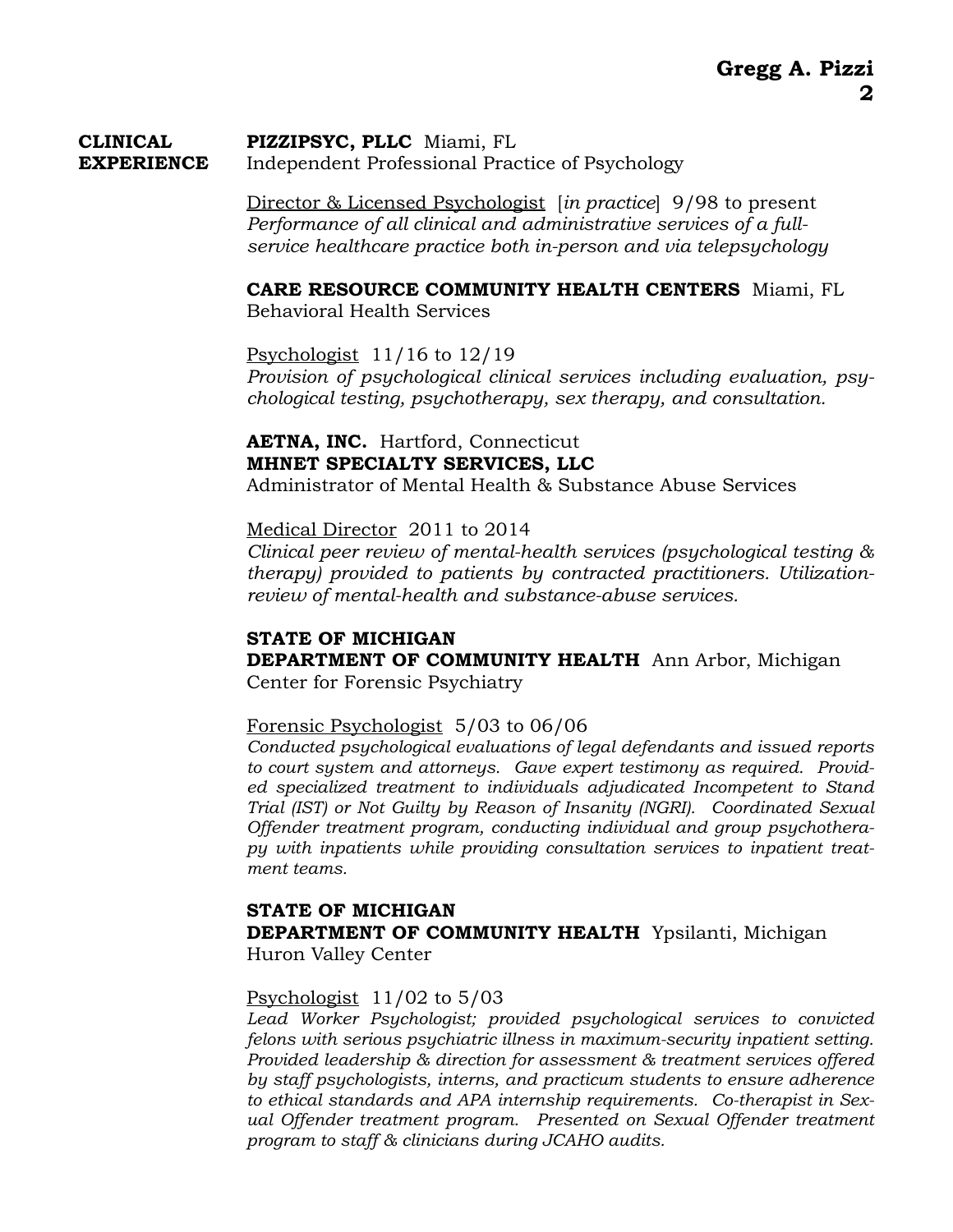#### **CLINICAL****PIZZIPSYC, PLLC** Miami, FL **EXPERIENCE** Independent Professional Practice of Psychology

Director & Licensed Psychologist [*in practice*] 9/98 to present *Performance of all clinical and administrative services of a fullservice healthcare practice both in-person and via telepsychology* 

**CARE RESOURCE COMMUNITY HEALTH CENTERS** Miami, FL Behavioral Health Services

Psychologist 11/16 to 12/19 *Provision of psychological clinical services including evaluation, psychological testing, psychotherapy, sex therapy, and consultation.* 

#### **AETNA, INC.** Hartford, Connecticut **MHNET SPECIALTY SERVICES, LLC** Administrator of Mental Health & Substance Abuse Services

Medical Director 2011 to 2014

*Clinical peer review of mental-health services (psychological testing & therapy) provided to patients by contracted practitioners. Utilizationreview of mental-health and substance-abuse services.* 

#### **STATE OF MICHIGAN DEPARTMENT OF COMMUNITY HEALTH** Ann Arbor, Michigan Center for Forensic Psychiatry

#### Forensic Psychologist 5/03 to 06/06

*Conducted psychological evaluations of legal defendants and issued reports to court system and attorneys. Gave expert testimony as required. Provided specialized treatment to individuals adjudicated Incompetent to Stand Trial (IST) or Not Guilty by Reason of Insanity (NGRI). Coordinated Sexual Offender treatment program, conducting individual and group psychotherapy with inpatients while providing consultation services to inpatient treatment teams.* 

#### **STATE OF MICHIGAN DEPARTMENT OF COMMUNITY HEALTH** Ypsilanti, Michigan Huron Valley Center

#### Psychologist 11/02 to 5/03

*Lead Worker Psychologist; provided psychological services to convicted felons with serious psychiatric illness in maximum-security inpatient setting. Provided leadership & direction for assessment & treatment services offered by staff psychologists, interns, and practicum students to ensure adherence to ethical standards and APA internship requirements. Co-therapist in Sexual Offender treatment program. Presented on Sexual Offender treatment program to staff & clinicians during JCAHO audits.*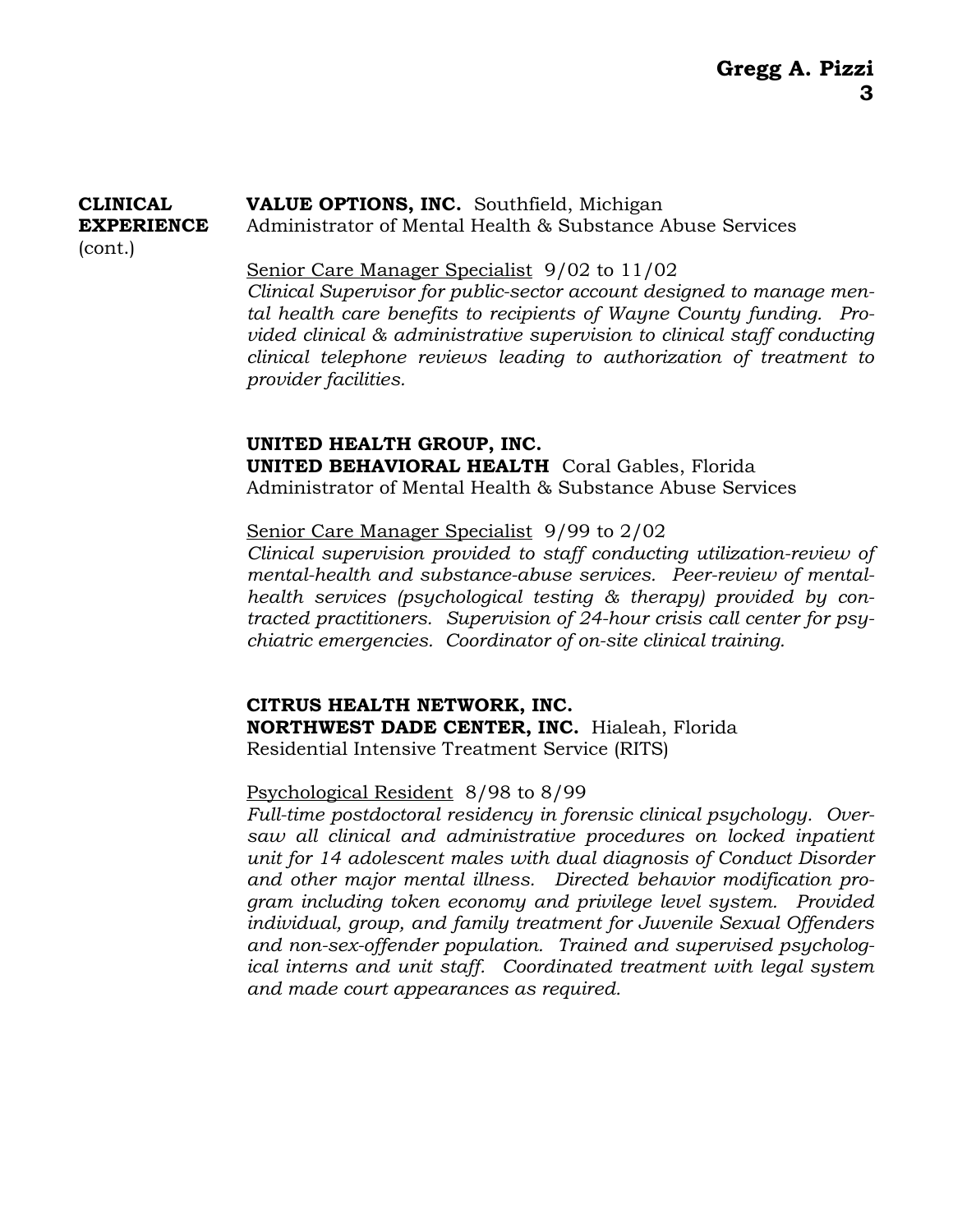#### **CLINICAL VALUE OPTIONS, INC.** Southfield, Michigan **EXPERIENCE** Administrator of Mental Health & Substance Abuse Services (cont.)

#### Senior Care Manager Specialist 9/02 to 11/02

*Clinical Supervisor for public-sector account designed to manage mental health care benefits to recipients of Wayne County funding. Provided clinical & administrative supervision to clinical staff conducting clinical telephone reviews leading to authorization of treatment to provider facilities.* 

#### **UNITED HEALTH GROUP, INC. UNITED BEHAVIORAL HEALTH** Coral Gables, Florida Administrator of Mental Health & Substance Abuse Services

#### Senior Care Manager Specialist 9/99 to 2/02

*Clinical supervision provided to staff conducting utilization-review of mental-health and substance-abuse services. Peer-review of mentalhealth services (psychological testing & therapy) provided by contracted practitioners. Supervision of 24-hour crisis call center for psychiatric emergencies. Coordinator of on-site clinical training.* 

 **CITRUS HEALTH NETWORK, INC. NORTHWEST DADE CENTER, INC.** Hialeah, Florida Residential Intensive Treatment Service (RITS)

#### Psychological Resident 8/98 to 8/99

*Full-time postdoctoral residency in forensic clinical psychology. Oversaw all clinical and administrative procedures on locked inpatient unit for 14 adolescent males with dual diagnosis of Conduct Disorder and other major mental illness. Directed behavior modification program including token economy and privilege level system. Provided individual, group, and family treatment for Juvenile Sexual Offenders and non-sex-offender population. Trained and supervised psychological interns and unit staff. Coordinated treatment with legal system and made court appearances as required.*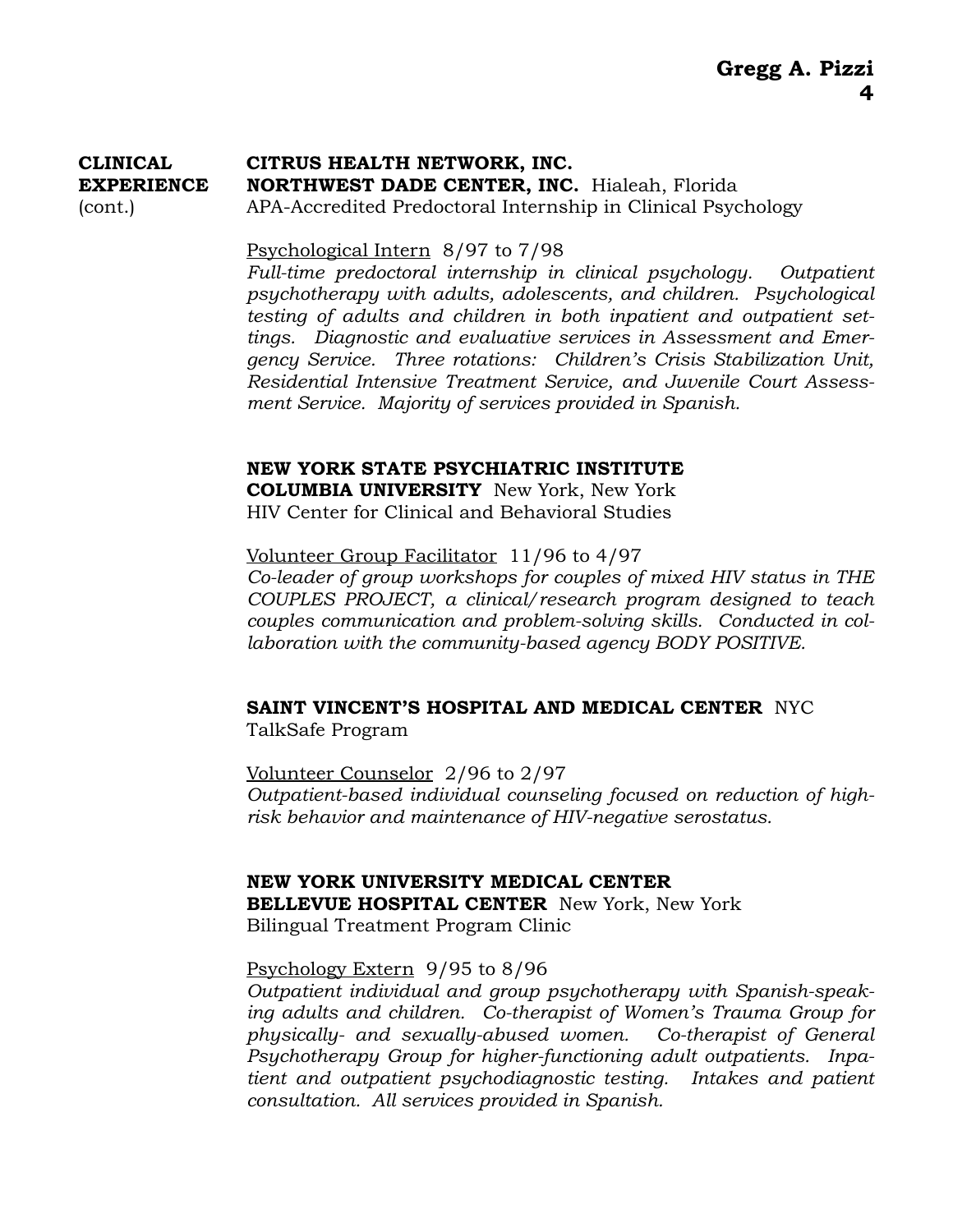### **CLINICAL CITRUS HEALTH NETWORK, INC. EXPERIENCE NORTHWEST DADE CENTER, INC.** Hialeah, Florida (cont.) APA-Accredited Predoctoral Internship in Clinical Psychology

#### Psychological Intern 8/97 to 7/98

*Full-time predoctoral internship in clinical psychology. Outpatient psychotherapy with adults, adolescents, and children. Psychological testing of adults and children in both inpatient and outpatient settings. Diagnostic and evaluative services in Assessment and Emergency Service. Three rotations: Children's Crisis Stabilization Unit, Residential Intensive Treatment Service, and Juvenile Court Assessment Service. Majority of services provided in Spanish.* 

#### **NEW YORK STATE PSYCHIATRIC INSTITUTE**

**COLUMBIA UNIVERSITY** New York, New York HIV Center for Clinical and Behavioral Studies

 Volunteer Group Facilitator 11/96 to 4/97 *Co-leader of group workshops for couples of mixed HIV status in THE COUPLES PROJECT, a clinical/research program designed to teach couples communication and problem-solving skills. Conducted in collaboration with the community-based agency BODY POSITIVE.* 

## **SAINT VINCENT'S HOSPITAL AND MEDICAL CENTER** NYC

TalkSafe Program

 Volunteer Counselor 2/96 to 2/97 *Outpatient-based individual counseling focused on reduction of highrisk behavior and maintenance of HIV-negative serostatus.* 

**NEW YORK UNIVERSITY MEDICAL CENTER BELLEVUE HOSPITAL CENTER** New York, New York Bilingual Treatment Program Clinic

#### Psychology Extern 9/95 to 8/96

*Outpatient individual and group psychotherapy with Spanish-speaking adults and children. Co-therapist of Women's Trauma Group for physically- and sexually-abused women. Co-therapist of General Psychotherapy Group for higher-functioning adult outpatients. Inpatient and outpatient psychodiagnostic testing. Intakes and patient consultation. All services provided in Spanish.*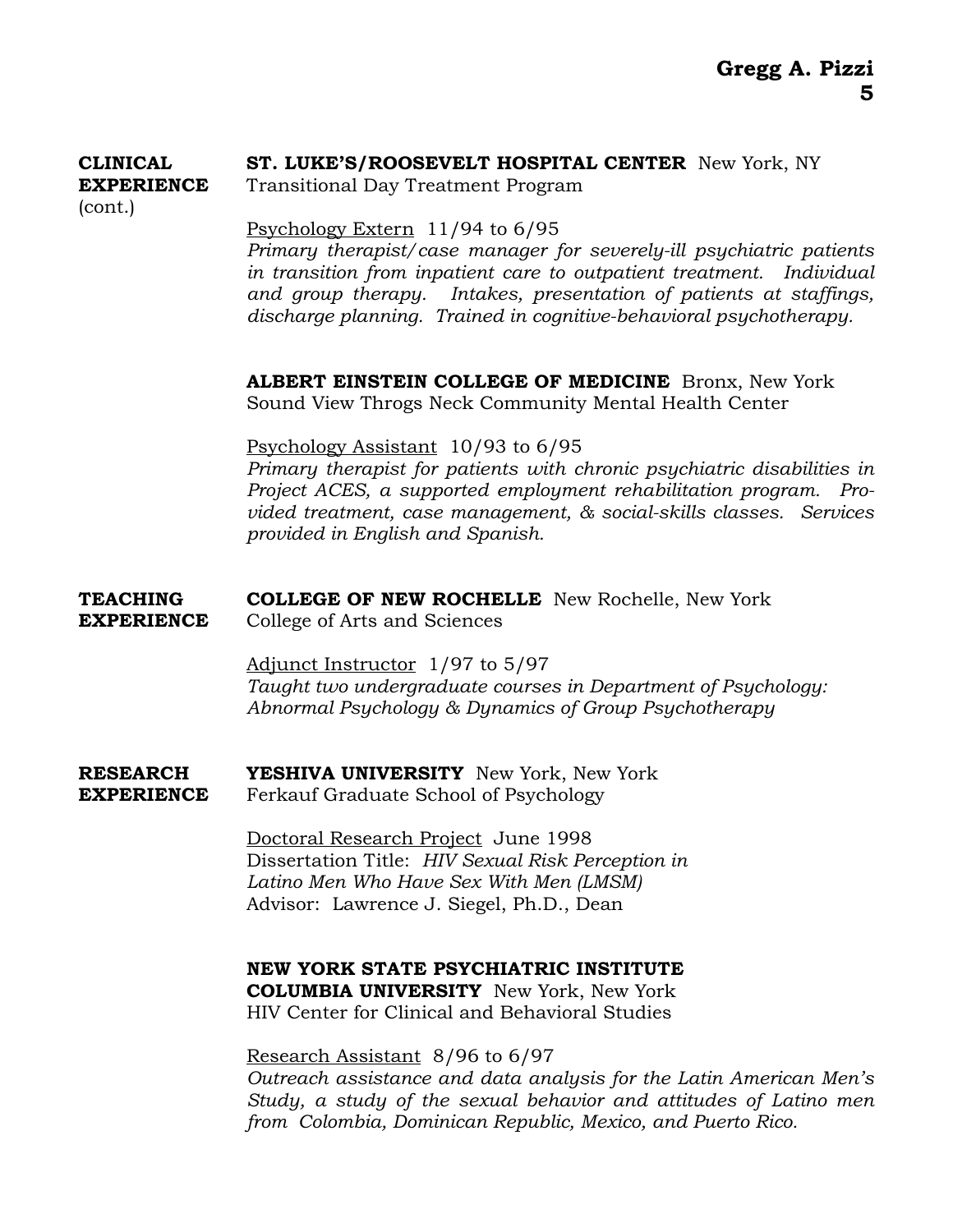#### **CLINICAL ST. LUKE'S/ROOSEVELT HOSPITAL CENTER** New York, NY **EXPERIENCE** Transitional Day Treatment Program

(cont.)

Psychology Extern 11/94 to 6/95

*Primary therapist/case manager for severely-ill psychiatric patients in transition from inpatient care to outpatient treatment. Individual and group therapy. Intakes, presentation of patients at staffings, discharge planning. Trained in cognitive-behavioral psychotherapy.* 

**ALBERT EINSTEIN COLLEGE OF MEDICINE** Bronx, New York Sound View Throgs Neck Community Mental Health Center

 Psychology Assistant 10/93 to 6/95 *Primary therapist for patients with chronic psychiatric disabilities in Project ACES, a supported employment rehabilitation program. Provided treatment, case management, & social-skills classes. Services provided in English and Spanish.*

#### **TEACHING COLLEGE OF NEW ROCHELLE** New Rochelle, New York **EXPERIENCE** College of Arts and Sciences

Adjunct Instructor 1/97 to 5/97 *Taught two undergraduate courses in Department of Psychology: Abnormal Psychology & Dynamics of Group Psychotherapy*

**RESEARCH YESHIVA UNIVERSITY** New York, New York **EXPERIENCE** Ferkauf Graduate School of Psychology

> Doctoral Research Project June 1998 Dissertation Title: *HIV Sexual Risk Perception in Latino Men Who Have Sex With Men (LMSM)* Advisor: Lawrence J. Siegel, Ph.D., Dean

**NEW YORK STATE PSYCHIATRIC INSTITUTE COLUMBIA UNIVERSITY** New York, New York HIV Center for Clinical and Behavioral Studies

Research Assistant 8/96 to 6/97 *Outreach assistance and data analysis for the Latin American Men's Study, a study of the sexual behavior and attitudes of Latino men from Colombia, Dominican Republic, Mexico, and Puerto Rico.*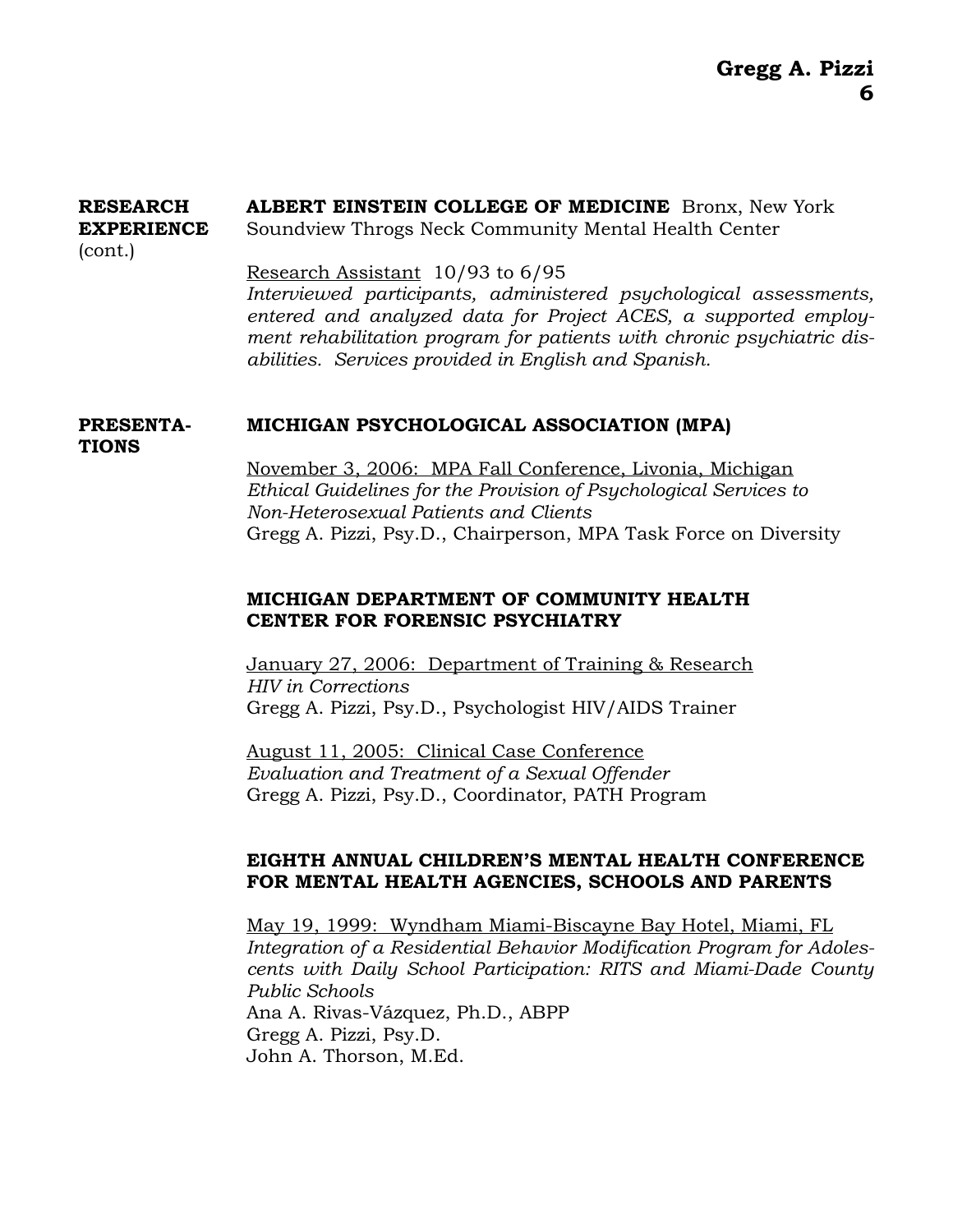#### **RESEARCH ALBERT EINSTEIN COLLEGE OF MEDICINE** Bronx, New York **EXPERIENCE** Soundview Throgs Neck Community Mental Health Center

(cont.)

**TIONS** 

#### Research Assistant 10/93 to 6/95

*Interviewed participants, administered psychological assessments, entered and analyzed data for Project ACES, a supported employment rehabilitation program for patients with chronic psychiatric disabilities. Services provided in English and Spanish.*

#### **PRESENTA- MICHIGAN PSYCHOLOGICAL ASSOCIATION (MPA)**

 November 3, 2006: MPA Fall Conference, Livonia, Michigan *Ethical Guidelines for the Provision of Psychological Services to Non-Heterosexual Patients and Clients* Gregg A. Pizzi, Psy.D., Chairperson, MPA Task Force on Diversity

#### **MICHIGAN DEPARTMENT OF COMMUNITY HEALTH CENTER FOR FORENSIC PSYCHIATRY**

January 27, 2006: Department of Training & Research *HIV in Corrections* Gregg A. Pizzi, Psy.D., Psychologist HIV/AIDS Trainer

August 11, 2005: Clinical Case Conference *Evaluation and Treatment of a Sexual Offender* Gregg A. Pizzi, Psy.D., Coordinator, PATH Program

#### **EIGHTH ANNUAL CHILDREN'S MENTAL HEALTH CONFERENCE FOR MENTAL HEALTH AGENCIES, SCHOOLS AND PARENTS**

May 19, 1999: Wyndham Miami-Biscayne Bay Hotel, Miami, FL *Integration of a Residential Behavior Modification Program for Adolescents with Daily School Participation: RITS and Miami-Dade County Public Schools*  Ana A. Rivas-Vázquez, Ph.D., ABPP Gregg A. Pizzi, Psy.D. John A. Thorson, M.Ed.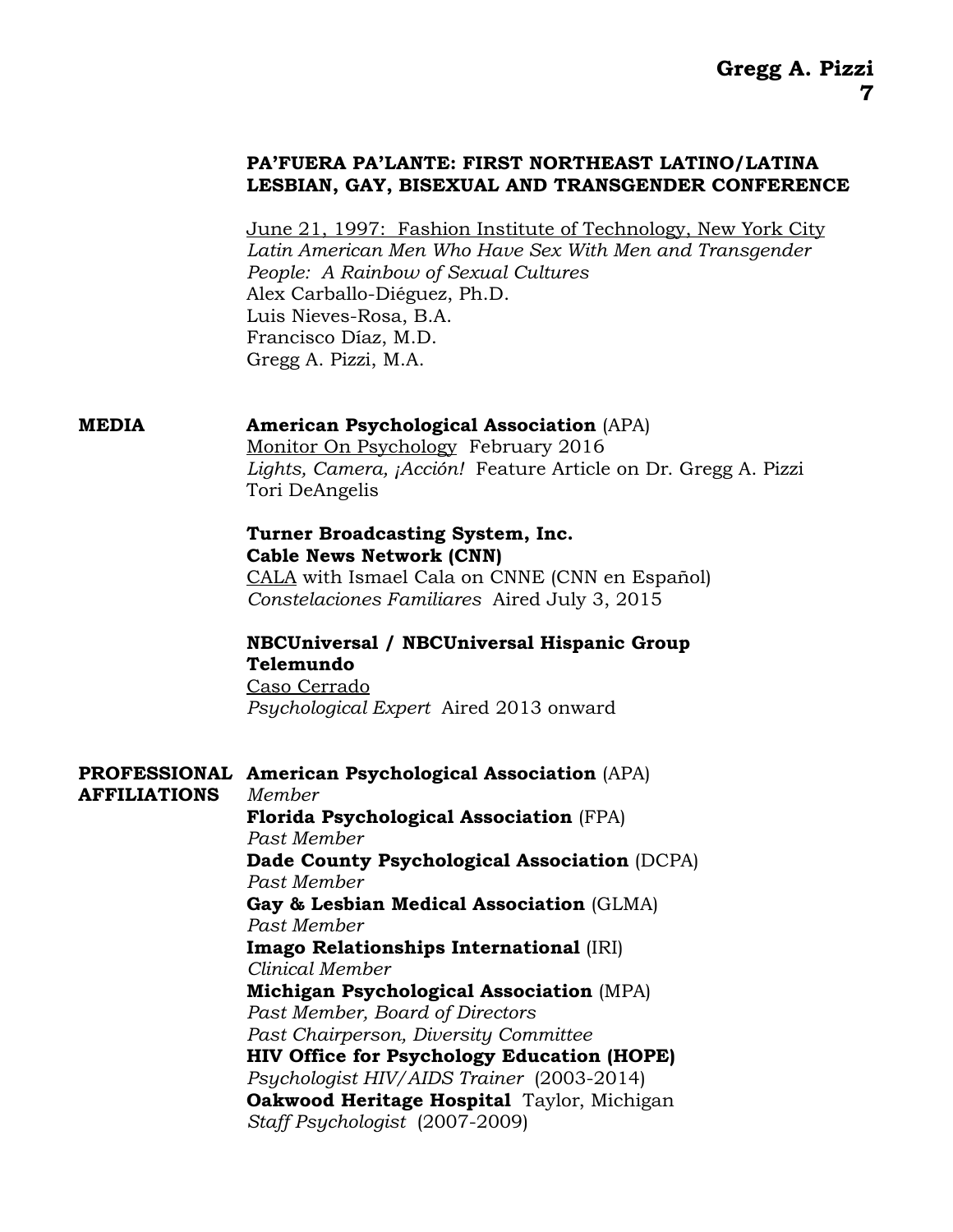#### **PA'FUERA PA'LANTE: FIRST NORTHEAST LATINO/LATINA LESBIAN, GAY, BISEXUAL AND TRANSGENDER CONFERENCE**

 June 21, 1997: Fashion Institute of Technology, New York City *Latin American Men Who Have Sex With Men and Transgender People: A Rainbow of Sexual Cultures*  Alex Carballo-Diéguez, Ph.D. Luis Nieves-Rosa, B.A. Francisco Díaz, M.D. Gregg A. Pizzi, M.A.

#### **MEDIA American Psychological Association** (APA)

Monitor On Psychology February 2016 *Lights, Camera, ¡Acción!* Feature Article on Dr. Gregg A. Pizzi Tori DeAngelis

#### **Turner Broadcasting System, Inc. Cable News Network (CNN)**

 CALA with Ismael Cala on CNNE (CNN en Español) *Constelaciones Familiares* Aired July 3, 2015

#### **NBCUniversal / NBCUniversal Hispanic Group Telemundo**

Caso Cerrado *Psychological Expert* Aired 2013 onward

#### **PROFESSIONAL American Psychological Association** (APA)

**AFFILIATIONS** *Member* 

 **Florida Psychological Association** (FPA) *Past Member*  **Dade County Psychological Association** (DCPA) *Past Member* **Gay & Lesbian Medical Association** (GLMA) *Past Member* **Imago Relationships International** (IRI) *Clinical Member* **Michigan Psychological Association** (MPA) *Past Member, Board of Directors Past Chairperson, Diversity Committee*  **HIV Office for Psychology Education (HOPE)**  *Psychologist HIV/AIDS Trainer* (2003-2014) **Oakwood Heritage Hospital** Taylor, Michigan *Staff Psychologist* (2007-2009)